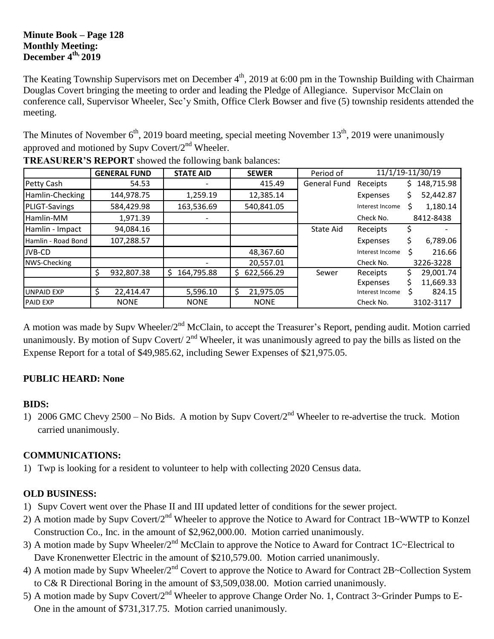### **Minute Book – Page 128 Monthly Meeting: December 4th, 2019**

The Keating Township Supervisors met on December 4<sup>th</sup>, 2019 at 6:00 pm in the Township Building with Chairman Douglas Covert bringing the meeting to order and leading the Pledge of Allegiance. Supervisor McClain on conference call, Supervisor Wheeler, Sec'y Smith, Office Clerk Bowser and five (5) township residents attended the meeting.

The Minutes of November  $6<sup>th</sup>$ , 2019 board meeting, special meeting November 13<sup>th</sup>, 2019 were unanimously approved and motioned by Supy Covert/ $2<sup>nd</sup>$  Wheeler.

|                      | <b>GENERAL FUND</b> | <b>STATE AID</b> | <b>SEWER</b>    | Period of           | 11/1/19-11/30/19 |                  |
|----------------------|---------------------|------------------|-----------------|---------------------|------------------|------------------|
| Petty Cash           | 54.53               |                  | 415.49          | <b>General Fund</b> | Receipts         | 148,715.98<br>S. |
| Hamlin-Checking      | 144,978.75          | 1,259.19         | 12,385.14       |                     | Expenses         | 52,442.87<br>S   |
| <b>PLIGT-Savings</b> | 584,429.98          | 163,536.69       | 540,841.05      |                     | Interest Income  | 1,180.14         |
| Hamlin-MM            | 1,971.39            |                  |                 |                     | Check No.        | 8412-8438        |
| Hamlin - Impact      | 94,084.16           |                  |                 | State Aid           | Receipts         |                  |
| Hamlin - Road Bond   | 107,288.57          |                  |                 |                     | Expenses         | 6,789.06<br>Ś    |
| <b>JVB-CD</b>        |                     |                  | 48,367.60       |                     | Interest Income  | 216.66           |
| NWS-Checking         |                     |                  | 20,557.01       |                     | Check No.        | 3226-3228        |
|                      | 932,807.38<br>S     | 164,795.88<br>S. | 622,566.29<br>S | Sewer               | Receipts         | 29,001.74        |
|                      |                     |                  |                 |                     | Expenses         | 11,669.33        |
| <b>UNPAID EXP</b>    | 22,414.47           | 5,596.10         | 21,975.05<br>S  |                     | Interest Income  | 824.15           |
| <b>PAID EXP</b>      | <b>NONE</b>         | <b>NONE</b>      | <b>NONE</b>     |                     | Check No.        | 3102-3117        |

**TREASURER'S REPORT** showed the following bank balances:

A motion was made by Supv Wheeler/2<sup>nd</sup> McClain, to accept the Treasurer's Report, pending audit. Motion carried unanimously. By motion of Supv Covert/  $2<sup>nd</sup>$  Wheeler, it was unanimously agreed to pay the bills as listed on the Expense Report for a total of \$49,985.62, including Sewer Expenses of \$21,975.05.

## **PUBLIC HEARD: None**

## **BIDS:**

1) 2006 GMC Chevy 2500 – No Bids. A motion by Supv Covert/2nd Wheeler to re-advertise the truck. Motion carried unanimously.

## **COMMUNICATIONS:**

1) Twp is looking for a resident to volunteer to help with collecting 2020 Census data.

# **OLD BUSINESS:**

- 1) Supv Covert went over the Phase II and III updated letter of conditions for the sewer project.
- 2) A motion made by Supv Covert/2<sup>nd</sup> Wheeler to approve the Notice to Award for Contract 1B~WWTP to Konzel Construction Co., Inc. in the amount of \$2,962,000.00. Motion carried unanimously.
- 3) A motion made by Supv Wheeler/2<sup>nd</sup> McClain to approve the Notice to Award for Contract 1C~Electrical to Dave Kronenwetter Electric in the amount of \$210,579.00. Motion carried unanimously.
- 4) A motion made by Supv Wheeler/2<sup>nd</sup> Covert to approve the Notice to Award for Contract 2B~Collection System to C& R Directional Boring in the amount of \$3,509,038.00. Motion carried unanimously.
- 5) A motion made by Supv Covert/2<sup>nd</sup> Wheeler to approve Change Order No. 1, Contract 3~Grinder Pumps to E-One in the amount of \$731,317.75. Motion carried unanimously.